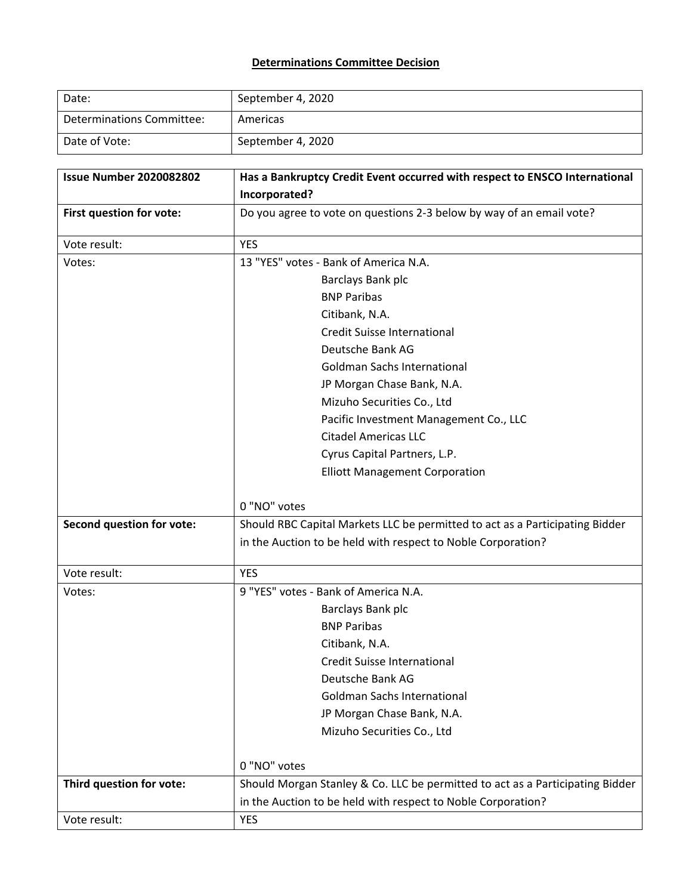## **Determinations Committee Decision**

| Date:                     | September 4, 2020 |
|---------------------------|-------------------|
| Determinations Committee: | Americas          |
| Date of Vote:             | September 4, 2020 |

| <b>Issue Number 2020082802</b>   | Has a Bankruptcy Credit Event occurred with respect to ENSCO International    |
|----------------------------------|-------------------------------------------------------------------------------|
|                                  | Incorporated?                                                                 |
| First question for vote:         | Do you agree to vote on questions 2-3 below by way of an email vote?          |
| Vote result:                     | <b>YES</b>                                                                    |
| Votes:                           | 13 "YES" votes - Bank of America N.A.                                         |
|                                  | Barclays Bank plc                                                             |
|                                  | <b>BNP Paribas</b>                                                            |
|                                  | Citibank, N.A.                                                                |
|                                  | Credit Suisse International                                                   |
|                                  | Deutsche Bank AG                                                              |
|                                  | <b>Goldman Sachs International</b>                                            |
|                                  | JP Morgan Chase Bank, N.A.                                                    |
|                                  | Mizuho Securities Co., Ltd                                                    |
|                                  | Pacific Investment Management Co., LLC                                        |
|                                  | <b>Citadel Americas LLC</b>                                                   |
|                                  | Cyrus Capital Partners, L.P.                                                  |
|                                  | <b>Elliott Management Corporation</b>                                         |
|                                  | 0 "NO" votes                                                                  |
| <b>Second question for vote:</b> | Should RBC Capital Markets LLC be permitted to act as a Participating Bidder  |
|                                  | in the Auction to be held with respect to Noble Corporation?                  |
| Vote result:                     | <b>YES</b>                                                                    |
| Votes:                           | 9 "YES" votes - Bank of America N.A.                                          |
|                                  | Barclays Bank plc                                                             |
|                                  | <b>BNP Paribas</b>                                                            |
|                                  | Citibank, N.A.                                                                |
|                                  | Credit Suisse International                                                   |
|                                  | Deutsche Bank AG                                                              |
|                                  | <b>Goldman Sachs International</b>                                            |
|                                  | JP Morgan Chase Bank, N.A.                                                    |
|                                  | Mizuho Securities Co., Ltd                                                    |
|                                  | 0 "NO" votes                                                                  |
| Third question for vote:         | Should Morgan Stanley & Co. LLC be permitted to act as a Participating Bidder |
|                                  | in the Auction to be held with respect to Noble Corporation?                  |
| Vote result:                     | <b>YES</b>                                                                    |